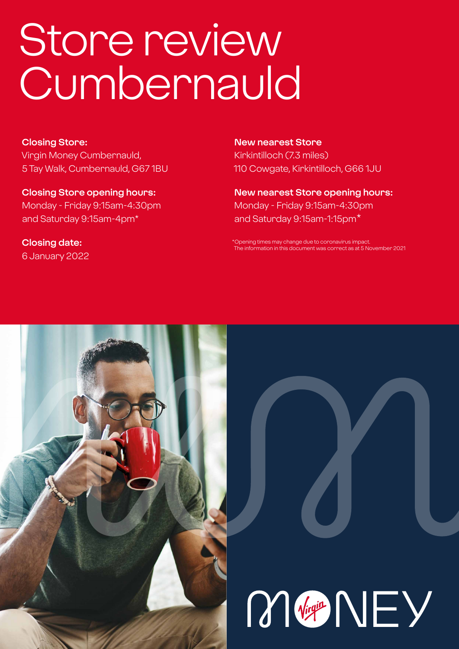# Store review **Cumbernauld**

### **Closing Store:**

Virgin Money Cumbernauld, 5 Tay Walk, Cumbernauld, G67 1BU

**Closing Store opening hours:**  Monday - Friday 9:15am-4:30pm and Saturday 9:15am-4pm\*

**Closing date:**  6 January 2022

### **New nearest Store**

Kirkintilloch (7.3 miles) 110 Cowgate, Kirkintilloch, G66 1JU

**New nearest Store opening hours:** Monday - Friday 9:15am-4:30pm and Saturday 9:15am-1:15pm\*

\*Opening times may change due to coronavirus imp The information in this document was correct as at 5 November 2021



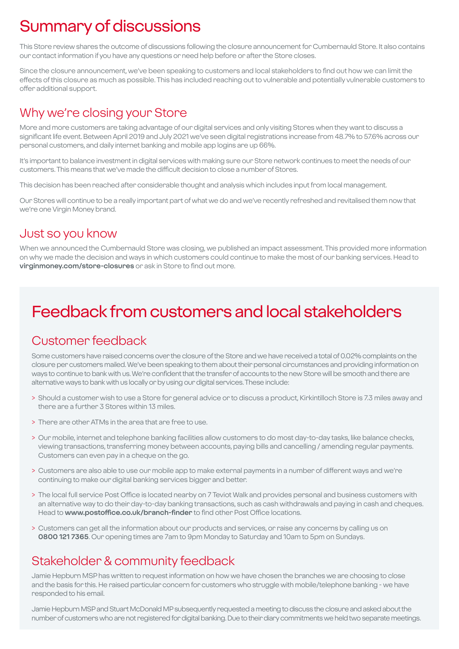# Summary of discussions

This Store review shares the outcome of discussions following the closure announcement for Cumbernauld Store. It also contains our contact information if you have any questions or need help before or after the Store closes.

Since the closure announcement, we've been speaking to customers and local stakeholders to find out how we can limit the effects of this closure as much as possible. This has included reaching out to vulnerable and potentially vulnerable customers to offer additional support.

### Why we're closing your Store

More and more customers are taking advantage of our digital services and only visiting Stores when they want to discuss a significant life event. Between April 2019 and July 2021 we've seen digital registrations increase from 48.7% to 57.6% across our personal customers, and daily internet banking and mobile app logins are up 66%.

It's important to balance investment in digital services with making sure our Store network continues to meet the needs of our customers. This means that we've made the difficult decision to close a number of Stores.

This decision has been reached after considerable thought and analysis which includes input from local management.

Our Stores will continue to be a really important part of what we do and we've recently refreshed and revitalised them now that we're one Virgin Money brand.

### Just so you know

When we announced the Cumbernauld Store was closing, we published an impact assessment. This provided more information on why we made the decision and ways in which customers could continue to make the most of our banking services. Head to **virginmoney.com/store-closures** or ask in Store to find out more.

# Feedback from customers and local stakeholders

### Customer feedback

Some customers have raised concerns over the closure of the Store and we have received a total of 0.02% complaints on the closure per customers mailed. We've been speaking to them about their personal circumstances and providing information on ways to continue to bank with us. We're confident that the transfer of accounts to the new Store will be smooth and there are alternative ways to bank with us locally or by using our digital services. These include:

- > Should a customer wish to use a Store for general advice or to discuss a product, Kirkintilloch Store is 7.3 miles away and there are a further 3 Stores within 13 miles.
- > There are other ATMs in the area that are free to use.
- > Our mobile, internet and telephone banking facilities allow customers to do most day-to-day tasks, like balance checks, viewing transactions, transferring money between accounts, paying bills and cancelling / amending regular payments. Customers can even pay in a cheque on the go.
- > Customers are also able to use our mobile app to make external payments in a number of different ways and we're continuing to make our digital banking services bigger and better.
- > The local full service Post Office is located nearby on 7 Teviot Walk and provides personal and business customers with an alternative way to do their day-to-day banking transactions, such as cash withdrawals and paying in cash and cheques. Head to **www.postoffice.co.uk/branch-finder** to find other Post Office locations.
- > Customers can get all the information about our products and services, or raise any concerns by calling us on **0800 121 7365**. Our opening times are 7am to 9pm Monday to Saturday and 10am to 5pm on Sundays.

### Stakeholder & community feedback

Jamie Hepburn MSP has written to request information on how we have chosen the branches we are choosing to close and the basis for this. He raised particular concern for customers who struggle with mobile/telephone banking - we have responded to his email.

Jamie Hepburn MSP and Stuart McDonald MP subsequently requested a meeting to discuss the closure and asked about the number of customers who are not registered for digital banking. Due to their diary commitments we held two separate meetings.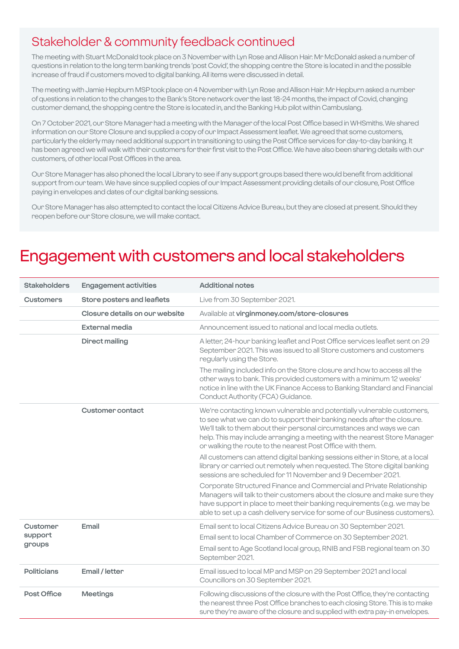### Stakeholder & community feedback continued

The meeting with Stuart McDonald took place on 3 November with Lyn Rose and Allison Hair. Mr McDonald asked a number of questions in relation to the long term banking trends 'post Covid', the shopping centre the Store is located in and the possible increase of fraud if customers moved to digital banking. All items were discussed in detail.

The meeting with Jamie Hepburn MSP took place on 4 November with Lyn Rose and Allison Hair. Mr Hepburn asked a number of questions in relation to the changes to the Bank's Store network over the last 18-24 months, the impact of Covid, changing customer demand, the shopping centre the Store is located in, and the Banking Hub pilot within Cambuslang.

On 7 October 2021, our Store Manager had a meeting with the Manager of the local Post Office based in WHSmiths. We shared information on our Store Closure and supplied a copy of our Impact Assessment leaflet. We agreed that some customers, particularly the elderly may need additional support in transitioning to using the Post Office services for day-to-day banking. It has been agreed we will walk with their customers for their first visit to the Post Office. We have also been sharing details with our customers, of other local Post Offices in the area.

Our Store Manager has also phoned the local Library to see if any support groups based there would benefit from additional support from our team. We have since supplied copies of our Impact Assessment providing details of our closure, Post Office paying in envelopes and dates of our digital banking sessions.

Our Store Manager has also attempted to contact the local Citizens Advice Bureau, but they are closed at present. Should they reopen before our Store closure, we will make contact.

# Engagement with customers and local stakeholders

| <b>Stakeholders</b>           | <b>Engagement activities</b>   | <b>Additional notes</b>                                                                                                                                                                                                                                                                                                                                                |
|-------------------------------|--------------------------------|------------------------------------------------------------------------------------------------------------------------------------------------------------------------------------------------------------------------------------------------------------------------------------------------------------------------------------------------------------------------|
| <b>Customers</b>              | Store posters and leaflets     | Live from 30 September 2021.                                                                                                                                                                                                                                                                                                                                           |
|                               | Closure details on our website | Available at virginmoney.com/store-closures                                                                                                                                                                                                                                                                                                                            |
|                               | <b>External media</b>          | Announcement issued to national and local media outlets.                                                                                                                                                                                                                                                                                                               |
|                               | <b>Direct mailing</b>          | A letter, 24-hour banking leaflet and Post Office services leaflet sent on 29<br>September 2021. This was issued to all Store customers and customers<br>regularly using the Store.                                                                                                                                                                                    |
|                               |                                | The mailing included info on the Store closure and how to access all the<br>other ways to bank. This provided customers with a minimum 12 weeks'<br>notice in line with the UK Finance Access to Banking Standard and Financial<br>Conduct Authority (FCA) Guidance.                                                                                                   |
|                               | <b>Customer contact</b>        | We're contacting known vulnerable and potentially vulnerable customers,<br>to see what we can do to support their banking needs after the closure.<br>We'll talk to them about their personal circumstances and ways we can<br>help. This may include arranging a meeting with the nearest Store Manager<br>or walking the route to the nearest Post Office with them. |
|                               |                                | All customers can attend digital banking sessions either in Store, at a local<br>library or carried out remotely when requested. The Store digital banking<br>sessions are scheduled for 11 November and 9 December 2021.                                                                                                                                              |
|                               |                                | Corporate Structured Finance and Commercial and Private Relationship<br>Managers will talk to their customers about the closure and make sure they<br>have support in place to meet their banking requirements (e.g. we may be<br>able to set up a cash delivery service for some of our Business customers).                                                          |
| Customer<br>support<br>groups | Email                          | Email sent to local Citizens Advice Bureau on 30 September 2021.                                                                                                                                                                                                                                                                                                       |
|                               |                                | Email sent to local Chamber of Commerce on 30 September 2021.<br>Email sent to Age Scotland local group, RNIB and FSB regional team on 30<br>September 2021.                                                                                                                                                                                                           |
| <b>Politicians</b>            | Email / letter                 | Email issued to local MP and MSP on 29 September 2021 and local<br>Councillors on 30 September 2021.                                                                                                                                                                                                                                                                   |
| Post Office                   | <b>Meetings</b>                | Following discussions of the closure with the Post Office, they're contacting<br>the nearest three Post Office branches to each closing Store. This is to make<br>sure they're aware of the closure and supplied with extra pay-in envelopes.                                                                                                                          |